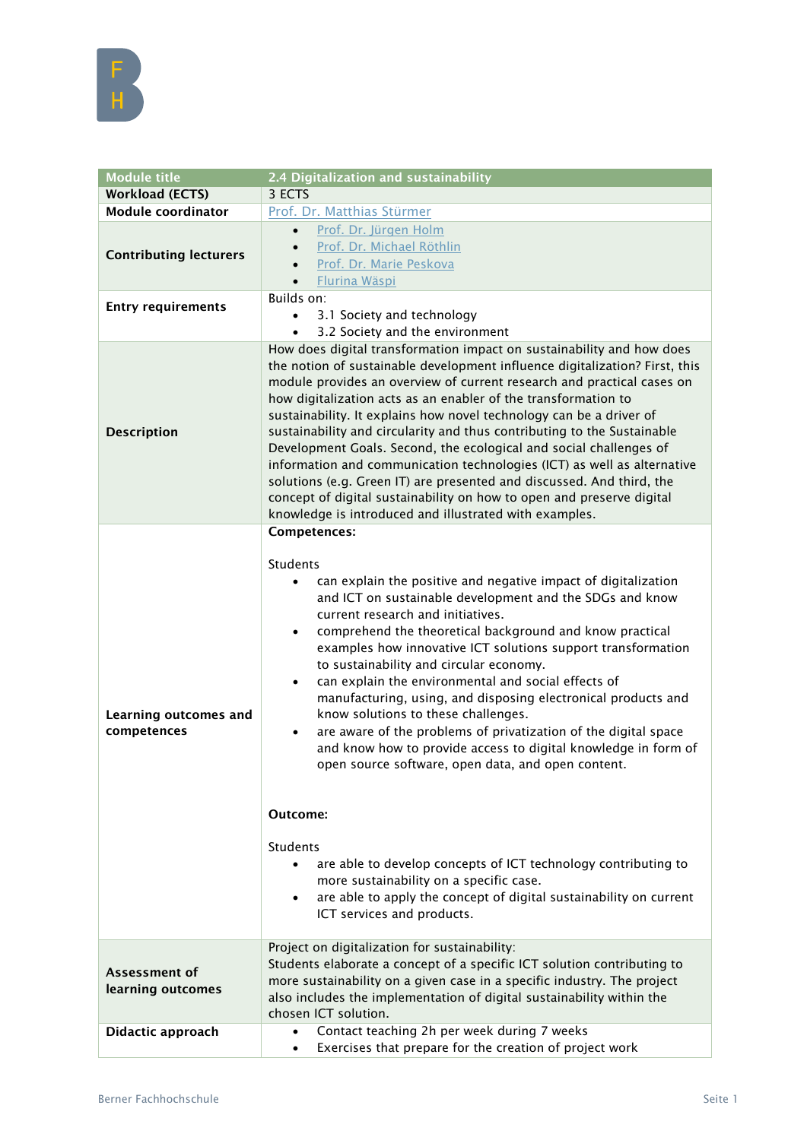| <b>Module title</b>                  | 2.4 Digitalization and sustainability                                                                                                                                                                                                                                                                                                                                                                                                                                                                                                                                                                                                                                                                                                                                                                           |
|--------------------------------------|-----------------------------------------------------------------------------------------------------------------------------------------------------------------------------------------------------------------------------------------------------------------------------------------------------------------------------------------------------------------------------------------------------------------------------------------------------------------------------------------------------------------------------------------------------------------------------------------------------------------------------------------------------------------------------------------------------------------------------------------------------------------------------------------------------------------|
| <b>Workload (ECTS)</b>               | 3 ECTS                                                                                                                                                                                                                                                                                                                                                                                                                                                                                                                                                                                                                                                                                                                                                                                                          |
| <b>Module coordinator</b>            | Prof. Dr. Matthias Stürmer                                                                                                                                                                                                                                                                                                                                                                                                                                                                                                                                                                                                                                                                                                                                                                                      |
| <b>Contributing lecturers</b>        | Prof. Dr. Jürgen Holm<br>$\bullet$<br>Prof. Dr. Michael Röthlin<br>$\bullet$<br>Prof. Dr. Marie Peskova<br>Flurina Wäspi                                                                                                                                                                                                                                                                                                                                                                                                                                                                                                                                                                                                                                                                                        |
| <b>Entry requirements</b>            | Builds on:<br>3.1 Society and technology<br>$\bullet$<br>3.2 Society and the environment<br>$\bullet$                                                                                                                                                                                                                                                                                                                                                                                                                                                                                                                                                                                                                                                                                                           |
| <b>Description</b>                   | How does digital transformation impact on sustainability and how does<br>the notion of sustainable development influence digitalization? First, this<br>module provides an overview of current research and practical cases on<br>how digitalization acts as an enabler of the transformation to<br>sustainability. It explains how novel technology can be a driver of<br>sustainability and circularity and thus contributing to the Sustainable<br>Development Goals. Second, the ecological and social challenges of<br>information and communication technologies (ICT) as well as alternative<br>solutions (e.g. Green IT) are presented and discussed. And third, the<br>concept of digital sustainability on how to open and preserve digital<br>knowledge is introduced and illustrated with examples. |
| Learning outcomes and<br>competences | Competences:<br>Students<br>can explain the positive and negative impact of digitalization<br>and ICT on sustainable development and the SDGs and know<br>current research and initiatives.<br>comprehend the theoretical background and know practical<br>$\bullet$<br>examples how innovative ICT solutions support transformation<br>to sustainability and circular economy.<br>can explain the environmental and social effects of<br>$\bullet$<br>manufacturing, using, and disposing electronical products and<br>know solutions to these challenges.<br>are aware of the problems of privatization of the digital space<br>$\bullet$<br>and know how to provide access to digital knowledge in form of<br>open source software, open data, and open content.                                             |
|                                      | Outcome:<br>Students<br>are able to develop concepts of ICT technology contributing to<br>more sustainability on a specific case.<br>are able to apply the concept of digital sustainability on current<br>$\bullet$<br>ICT services and products.                                                                                                                                                                                                                                                                                                                                                                                                                                                                                                                                                              |
| Assessment of<br>learning outcomes   | Project on digitalization for sustainability:<br>Students elaborate a concept of a specific ICT solution contributing to<br>more sustainability on a given case in a specific industry. The project<br>also includes the implementation of digital sustainability within the<br>chosen ICT solution.                                                                                                                                                                                                                                                                                                                                                                                                                                                                                                            |
| Didactic approach                    | Contact teaching 2h per week during 7 weeks<br>$\bullet$<br>Exercises that prepare for the creation of project work<br>$\bullet$                                                                                                                                                                                                                                                                                                                                                                                                                                                                                                                                                                                                                                                                                |